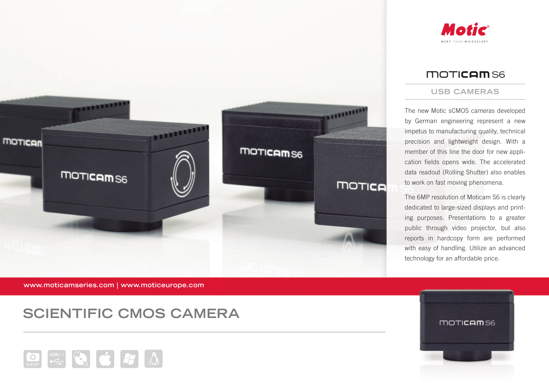



## **MOTICAMS6**

#### **USB CAMERAS**

The new Motic sCMOS cameras developed by German engineering represent a new impetus to manufacturing quality, technical precision and lightweight design. With a member of this line the door for new application fields opens wide. The accelerated data readout (Rolling Shutter) also enables to work on fast moving phenomena.

The 6MP resolution of Moticam S6 is clearly dedicated to large-sized displays and printing purposes. Presentations to a greater public through video projector, but also reports in hardcopy form are performed with easy of handling. Utilize an advanced technology for an affordable price.

**www.moticamseries.com | www.moticeurope.com**

# **SCIENTIFIC CMOS CAMERA**



moticam<sub>s6</sub>